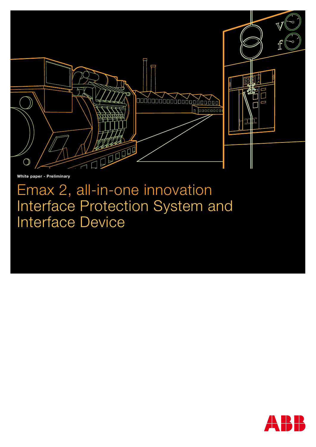

White paper - Preliminary

Emax 2, all-in-one innovation Interface Protection System and Interface Device

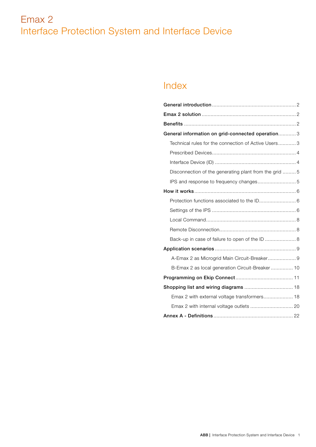# Index

| General information on grid-connected operation 3     |  |
|-------------------------------------------------------|--|
| Technical rules for the connection of Active Users 3  |  |
|                                                       |  |
|                                                       |  |
| Disconnection of the generating plant from the grid 5 |  |
|                                                       |  |
|                                                       |  |
|                                                       |  |
|                                                       |  |
|                                                       |  |
|                                                       |  |
| Back-up in case of failure to open of the ID  8       |  |
|                                                       |  |
| A-Emax 2 as Microgrid Main Circuit-Breaker 9          |  |
| B-Emax 2 as local generation Circuit-Breaker  10      |  |
|                                                       |  |
|                                                       |  |
| Emax 2 with external voltage transformers 18          |  |
| Emax 2 with internal voltage outlets  20              |  |
|                                                       |  |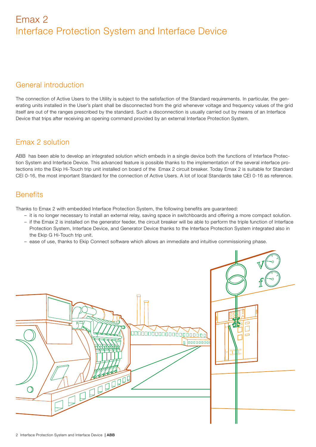# General introduction

The connection of Active Users to the Utility is subject to the satisfaction of the Standard requirements. In particular, the generating units installed in the User's plant shall be disconnected from the grid whenever voltage and frequency values of the grid itself are out of the ranges prescribed by the standard. Such a disconnection is usually carried out by means of an Interface Device that trips after receiving an opening command provided by an external Interface Protection System.

# Emax 2 solution

ABB has been able to develop an integrated solution which embeds in a single device both the functions of Interface Protection System and Interface Device. This advanced feature is possible thanks to the implementation of the several interface protections into the Ekip Hi-Touch trip unit installed on board of the Emax 2 circuit breaker. Today Emax 2 is suitable for Standard CEI 0-16, the most important Standard for the connection of Active Users. A lot of local Standards take CEI 0-16 as reference.

# **Benefits**

Thanks to Emax 2 with embedded Interface Protection System, the following benefits are guaranteed:

- it is no longer necessary to install an external relay, saving space in switchboards and offering a more compact solution.
- if the Emax 2 is installed on the generator feeder, the circuit breaker will be able to perform the triple function of Interface Protection System, Interface Device, and Generator Device thanks to the Interface Protection System integrated also in the Ekip G Hi-Touch trip unit.
- ease of use, thanks to Ekip Connect software which allows an immediate and intuitive commissioning phase.

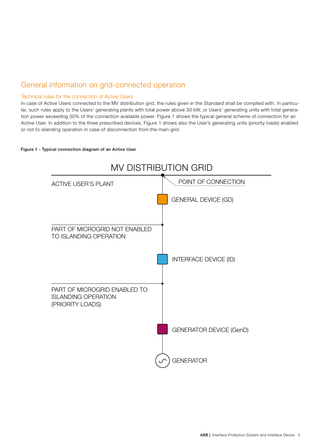# General information on grid-connected operation

# Technical rules for the connection of Active Users

In case of Active Users connected to the MV distribution grid, the rules given in the Standard shall be complied with. In particular, such rules apply to the Users' generating plants with total power above 30 kW, or Users' generating units with total generation power exceeding 30% of the connection available power. Figure 1 shows the typical general scheme of connection for an Active User. In addition to the three prescribed devices, Figure 1 shows also the User's generating units (priority loads) enabled or not to islanding operation in case of disconnection from the main grid.

## Figure 1 - Typical connection diagram of an Active User

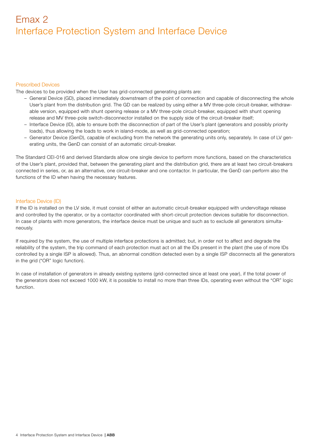## Prescribed Devices

The devices to be provided when the User has grid-connected generating plants are:

- General Device (GD), placed immediately downstream of the point of connection and capable of disconnecting the whole User's plant from the distribution grid. The GD can be realized by using either a MV three-pole circuit-breaker, withdrawable version, equipped with shunt opening release or a MV three-pole circuit-breaker, equipped with shunt opening release and MV three-pole switch-disconnector installed on the supply side of the circuit-breaker itself;
- Interface Device (ID), able to ensure both the disconnection of part of the User's plant (generators and possibly priority loads), thus allowing the loads to work in island-mode, as well as grid-connected operation;
- Generator Device (GenD), capable of excluding from the network the generating units only, separately. In case of LV generating units, the GenD can consist of an automatic circuit-breaker.

The Standard CEI-016 and derived Standards allow one single device to perform more functions, based on the characteristics of the User's plant, provided that, between the generating plant and the distribution grid, there are at least two circuit-breakers connected in series, or, as an alternative, one circuit-breaker and one contactor. In particular, the GenD can perform also the functions of the ID when having the necessary features.

# Interface Device (ID)

If the ID is installed on the LV side, it must consist of either an automatic circuit-breaker equipped with undervoltage release and controlled by the operator, or by a contactor coordinated with short-circuit protection devices suitable for disconnection. In case of plants with more generators, the interface device must be unique and such as to exclude all generators simultaneously.

If required by the system, the use of multiple interface protections is admitted; but, in order not to affect and degrade the reliability of the system, the trip command of each protection must act on all the IDs present in the plant (the use of more IDs controlled by a single ISP is allowed). Thus, an abnormal condition detected even by a single ISP disconnects all the generators in the grid ("OR" logic function).

In case of installation of generators in already existing systems (grid-connected since at least one year), if the total power of the generators does not exceed 1000 kW, it is possible to install no more than three IDs, operating even without the "OR" logic function.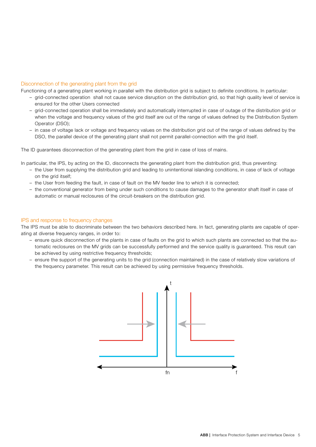# Disconnection of the generating plant from the grid

Functioning of a generating plant working in parallel with the distribution grid is subject to definite conditions. In particular:

- grid-connected operation shall not cause service disruption on the distribution grid, so that high quality level of service is ensured for the other Users connected
- grid-connected operation shall be immediately and automatically interrupted in case of outage of the distribution grid or when the voltage and frequency values of the grid itself are out of the range of values defined by the Distribution System Operator (DSO);
- in case of voltage lack or voltage and frequency values on the distribution grid out of the range of values defined by the DSO, the parallel device of the generating plant shall not permit parallel-connection with the grid itself.

The ID guarantees disconnection of the generating plant from the grid in case of loss of mains.

In particular, the IPS, by acting on the ID, disconnects the generating plant from the distribution grid, thus preventing:

- the User from supplying the distribution grid and leading to unintentional islanding conditions, in case of lack of voltage on the grid itself;
- the User from feeding the fault, in case of fault on the MV feeder line to which it is connected;
- the conventional generator from being under such conditions to cause damages to the generator shaft itself in case of automatic or manual reclosures of the circuit-breakers on the distribution grid.

### IPS and response to frequency changes

The IPS must be able to discriminate between the two behaviors described here. In fact, generating plants are capable of operating at diverse frequency ranges, in order to:

- ensure quick disconnection of the plants in case of faults on the grid to which such plants are connected so that the automatic reclosures on the MV grids can be successfully performed and the service quality is guaranteed. This result can be achieved by using restrictive frequency thresholds;
- ensure the support of the generating units to the grid (connection maintained) in the case of relatively slow variations of the frequency parameter. This result can be achieved by using permissive frequency thresholds.

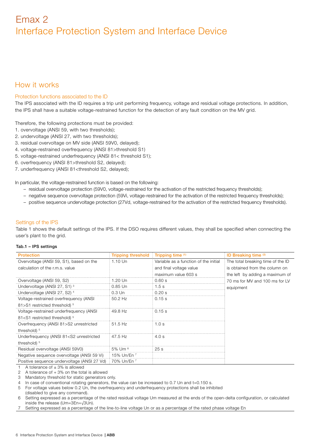# How it works

# Protection functions associated to the ID

The IPS associated with the ID requires a trip unit performing frequency, voltage and residual voltage protections. In addition, the IPS shall have a suitable voltage-restrained function for the detection of any fault condition on the MV grid.

Therefore, the following protections must be provided:

- 1. overvoltage (ANSI 59, with two thresholds);
- 2. undervoltage (ANSI 27, with two thresholds);
- 3. residual overvoltage on MV side (ANSI 59V0, delayed);
- 4. voltage-restrained overfrequency (ANSI 81>threshold S1)
- 5. voltage-restrained underfrequency (ANSI 81< threshold S1);
- 6. overfrequency (ANSI 81>threshold S2, delayed);
- 7. underfrequency (ANSI 81<threshold S2, delayed);

In particular, the voltage-restrained function is based on the following:

- residual overvoltage protection (59V0, voltage-restrained for the activation of the restricted frequency thresholds);
- negative sequence overvoltage protection (59Vi, voltage-restrained for the activation of the restricted frequency thresholds);
- positive sequence undervoltage protection (27Vd, voltage-restrained for the activation of the restricted frequency thresholds).

# Settings of the IPS

Table 1 shows the default settings of the IPS. If the DSO requires different values, they shall be specified when connecting the user's plant to the grid.

### Tab.1 – IPS settings

| <b>Protection</b>                                                                               | <b>Tripping threshold</b> | <b>Tripping time</b> $(1)$            | ID Breaking time (2)              |
|-------------------------------------------------------------------------------------------------|---------------------------|---------------------------------------|-----------------------------------|
| Overvoltage (ANSI 59, S1), based on the                                                         | $1.10$ Un                 | Variable as a function of the initial | The total breaking time of the ID |
| calculation of the r.m.s. value                                                                 |                           | and final voltage value               | is obtained from the column on    |
|                                                                                                 |                           | maximum value 603 s                   | the left by adding a maximum of   |
| Overvoltage (ANSI 59, S2)                                                                       | 1.20 Un                   | 0.60 s                                | 70 ms for MV and 100 ms for LV    |
| Undervoltage (ANSI 27, S1) <sup>3</sup>                                                         | 0.85 Un                   | 1.5s                                  | equipment                         |
| Undervoltage (ANSI 27, S2) <sup>4</sup>                                                         | $0.3$ Un                  | 0.20 s                                |                                   |
| Voltage-restrained overfrequency (ANSI)                                                         | 50.2 Hz                   | 0.15 s                                |                                   |
| 81>S1 restricted threshold) <sup>5</sup>                                                        |                           |                                       |                                   |
| Voltage-restrained underfrequency (ANSI)                                                        | 49.8 Hz                   | 0.15 s                                |                                   |
| 81 <s1 restricted="" threshold)<sup="">5</s1>                                                   |                           |                                       |                                   |
| Overfrequency (ANSI 81>S2 unrestricted                                                          | 51.5 Hz                   | 1.0 <sub>s</sub>                      |                                   |
| threshold) <sup>5</sup>                                                                         |                           |                                       |                                   |
| Underfrequency (ANSI 81 <s2 td="" unrestricted<=""><td>47.5 Hz</td><td>4.0 s</td><td></td></s2> | 47.5 Hz                   | 4.0 s                                 |                                   |
| threshold) <sup>5</sup>                                                                         |                           |                                       |                                   |
| Residual overvoltage (ANSI 59V0)                                                                | 5% Um $6$                 | 25s                                   |                                   |
| Negative sequence overvoltage (ANSI 59 Vi)                                                      | 15% Un/En 7               |                                       |                                   |
| Positive sequence undervoltage (ANSI 27 Vd) i 70% Un/En 7                                       |                           |                                       |                                   |

1 A tolerance of  $\pm$  3% is allowed

 $\mathcal{D}$ A tolerance of  $+3\%$  on the total is allowed

3 Mandatory threshold for static generators only.

7 Setting expressed as a percentage of the line-to-line voltage Un or as a percentage of the rated phase voltage En

<sup>4</sup> In case of conventional rotating generators, the value can be increased to 0.7 Un and t=0.150 s.

<sup>5</sup> For voltage values below 0.2 Un, the overfrequency and underfrequency protections shall be inhibited

<sup>6</sup> (disabled to give any command). Setting expressed as a percentage of the rated residual voltage Um measured at the ends of the open-delta configuration, or calculated inside the release (Um=3En=√3Un).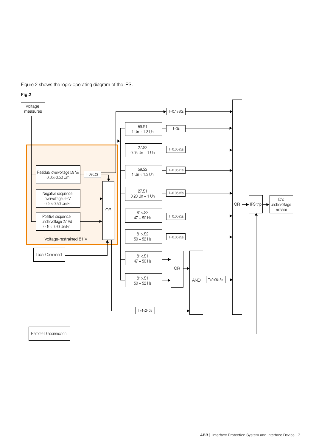Figure 2 shows the logic-operating diagram of the IPS.



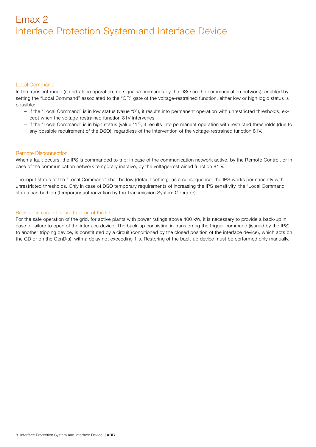## Local Command

In the transient mode (stand-alone operation, no signals/commands by the DSO on the communication network), enabled by setting the "Local Command" associated to the "OR" gate of the voltage-restrained function, either low or high logic status is possible:

- if the "Local Command" is in low status (value "0"), it results into permanent operation with unrestricted thresholds, except when the voltage-restrained function 81V intervenes
- if the "Local Command" is in high status (value "1"), it results into permanent operation with restricted thresholds (due to any possible requirement of the DSO), regardless of the intervention of the voltage-restrained function 81V.

## Remote Disconnection

When a fault occurs, the IPS is commanded to trip: in case of the communication network active, by the Remote Control, or in case of the communication network temporary inactive, by the voltage-restrained function 81 V.

The input status of the "Local Command" shall be low (default setting): as a consequence, the IPS works permanently with unrestricted thresholds. Only in case of DSO temporary requirements of increasing the IPS sensitivity, the "Local Command" status can be high (temporary authorization by the Transmission System Operator).

## Back-up in case of failure to open of the ID

For the safe operation of the grid, for active plants with power ratings above 400 kW, it is necessary to provide a back-up in case of failure to open of the interface device. The back-up consisting in transferring the trigger command (issued by the IPS) to another tripping device, is constituted by a circuit (conditioned by the closed position of the interface device), which acts on the GD or on the GenD(s), with a delay not exceeding 1 s. Restoring of the back-up device must be performed only manually.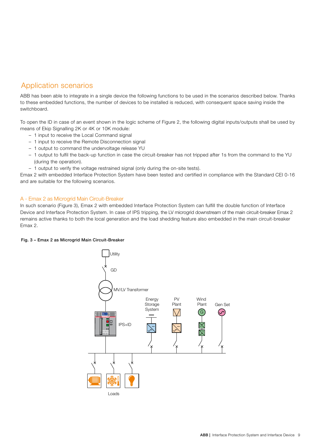# Application scenarios

ABB has been able to integrate in a single device the following functions to be used in the scenarios described below. Thanks to these embedded functions, the number of devices to be installed is reduced, with consequent space saving inside the switchboard.

To open the ID in case of an event shown in the logic scheme of Figure 2, the following digital inputs/outputs shall be used by means of Ekip Signalling 2K or 4K or 10K module:

- 1 input to receive the Local Command signal
- 1 input to receive the Remote Disconnection signal
- 1 output to command the undervoltage release YU
- 1 output to fulfil the back-up function in case the circuit-breaker has not tripped after 1s from the command to the YU (during the operation).
- 1 output to verify the voltage restrained signal (only during the on-site tests).

Emax 2 with embedded Interface Protection System have been tested and certified in compliance with the Standard CEI 0-16 and are suitable for the following scenarios.

# A - Emax 2 as Microgrid Main Circuit-Breaker

In such scenario (Figure 3), Emax 2 with embedded Interface Protection System can fulfill the double function of Interface Device and Interface Protection System. In case of IPS tripping, the LV microgrid downstream of the main circuit-breaker Emax 2 remains active thanks to both the local generation and the load shedding feature also embedded in the main circuit-breaker Emax 2.

# Fig. 3 – Emax 2 as Microgrid Main Circuit-Breaker

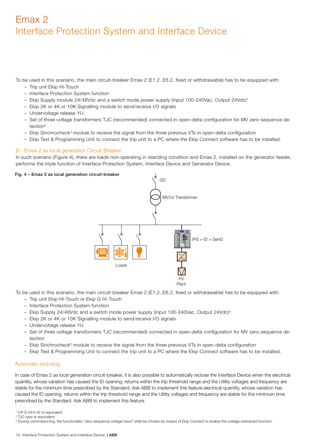To be used in this scenario, the main circuit-breaker Emax 2 (E1.2..E6.2, fixed or withdrawable) has to be equipped with:

- Trip unit Ekip Hi-Touch
- Interface Protection System function
- Ekip Supply module 24/48Vdc and a switch mode power supply (Input 100-240Vac, Output 24Vdc)1
- Ekip 2K or 4K or 10K Signalling module to send/receive I/O signals
- Undervoltage release YU
- Set of three voltage transformers TJC (recommended) connected in open-delta configuration for MV zero-sequence detection2
- Ekip Sinchrocheck<sup>3</sup> module to receive the signal from the three previous VTs in open-delta configuration
- Ekip Test & Programming Unit to connect the trip unit to a PC where the Ekip Connect software has to be installed.

## B - Emax 2 as local generation Circuit-Breaker

In such scenario (Figure 4), there are loads non-operating in islanding condition and Emax 2, installed on the generator feeder, performs the triple function of Interface Protection System, Interface Device and Generator Device.

#### Fig. 4 – Emax 2 as local generation circuit-breaker



To be used in this scenario, the main circuit-breaker Emax 2 (E1.2..E6.2, fixed or withdrawable) has to be equipped with:

- Trip unit Ekip Hi-Touch or Ekip G Hi-Touch
- Interface Protection System function
- Ekip Supply 24/48Vdc and a switch mode power supply (Input 100-240Vac, Output 24Vdc)3
- Ekip 2K or 4K or 10K Signalling module to send/receive I/O signals
- Undervoltage release YU
- Set of three voltage transformers TJC (recommended) connected in open-delta configuration for MV zero-sequence detection
- Ekip Sinchrocheck<sup>3</sup> module to receive the signal from the three previous VTs in open-delta configuration
- Ekip Test & Programming Unit to connect the trip unit to a PC where the Ekip Connect software has to be installed.

# Automatic reclosing

In case of Emax 2 as local generation circuit-breaker, it is also possible to automatically reclose the Interface Device when the electrical quantity, whose variation has caused the ID opening, returns within the trip threshold range and the Utility voltages and frequency are stable for the minimum time prescribed by the Standard. Ask ABB to implement this feature.electrical quantity, whose variation has caused the ID opening, returns within the trip threshold range and the Utility voltages and frequency are stable for the minimum time prescribed by the Standard. Ask ABB to implement this feature.

<sup>3</sup> During commissioning, the functionality "zero-sequence voltage input" shall be chosen by means of Ekip Connect to enable the voltage-restrained function.

<sup>1</sup> CP-D 24/0.42 or equivalent 2 TJC type or equivalent.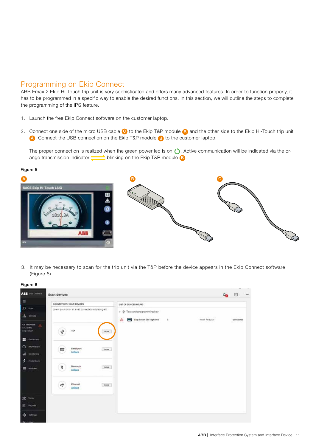# Programming on Ekip Connect

ABB Emax 2 Ekip Hi-Touch trip unit is very sophisticated and offers many advanced features. In order to function properly, it has to be programmed in a specific way to enable the desired functions. In this section, we will outline the steps to complete the programming of the IPS feature.

- 1. Launch the free Ekip Connect software on the customer laptop.
- 2. Connect one side of the micro USB cable C to the Ekip T&P module B and the other side to the Ekip Hi-Touch trip unit A. Connect the USB connection on the Ekip T&P module B to the customer laptop.

The proper connection is realized when the green power led is on  $\bigcup$ . Active communication will be indicated via the orange transmission indicator  $\qquad \qquad$  blinking on the Ekip T&P module  $\qquad \qquad$  B.

## Figure 5



3. It may be necessary to scan for the trip unit via the T&P before the device appears in the Ekip Connect software (Figure 6)

| ABS Distances                                                   | Scan devices                                            | <b>STATE</b><br>回<br>                                                                                                    |
|-----------------------------------------------------------------|---------------------------------------------------------|--------------------------------------------------------------------------------------------------------------------------|
| $\equiv$                                                        | COMMECT WITH YOUR DEVICES                               | LIST OF DEVICES FOUND                                                                                                    |
| D.<br>: Scan<br>A Deces                                         | Lorem gaum dotor art amel, contechetur adipiscing elit. | $\leftarrow \Psi$ Test and programming key<br>ment Reay Sty<br>enaggi<br><b>SHIP</b> Elep Touch CD TagName<br>$\pm$<br>◬ |
| CE TAGNAME<br>11.24000<br><b>Like Touch</b><br><b>E</b> Dettort | TEP<br>ψ<br>SCAN                                        | connected                                                                                                                |
| O internation<br>al.<br>standaring                              | Serial port<br><b>BOAN</b><br>₩<br><b>Confident</b>     |                                                                                                                          |
| Ŧ,<br>Profections<br>m.<br>Atociules                            | 胄<br>Bhiefooth<br>BOM<br>Certain                        |                                                                                                                          |
|                                                                 | 56<br><b>Chenet</b><br>෫<br>BOAN<br>Gedaux              |                                                                                                                          |
| $25 - 100$                                                      |                                                         |                                                                                                                          |
| El Feports                                                      |                                                         |                                                                                                                          |
| <b>18 Settings</b><br>O He<br>г                                 |                                                         |                                                                                                                          |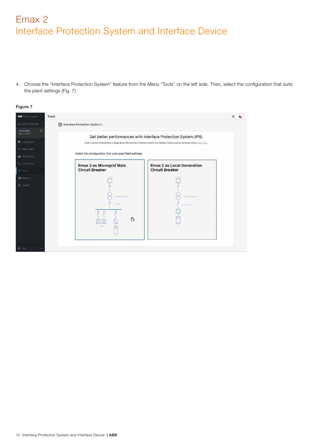4. Choose the "Interface Protection System" feature from the Menu "Tools" on the left side. Then, select the configuration that suits the plant settings (Fig. 7)

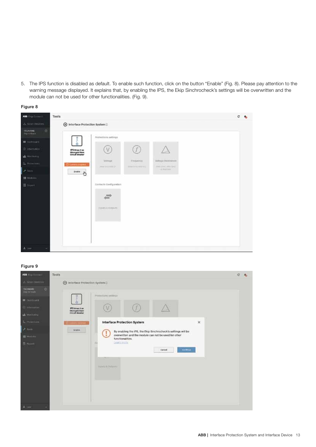5. The IPS function is disabled as default. To enable such function, click on the button "Enable" (Fig. 8). Please pay attention to the warning message displayed. It explains that, by enabling the IPS, the Ekip Sinchrocheck's settings will be overwritten and the module can not be used for other functionalities. (Fig. 9).



| ABB Exp.Cotract                   | Tools                                              |                                   |                                             |                                                       | $C - 4$ |
|-----------------------------------|----------------------------------------------------|-----------------------------------|---------------------------------------------|-------------------------------------------------------|---------|
| A Sem Divices                     | treface Protection System                          |                                   |                                             |                                                       |         |
| 回<br>TAGNAME<br><b>Digitizion</b> |                                                    | Protestions settings              |                                             |                                                       |         |
| <b>m</b> burboard                 |                                                    |                                   |                                             |                                                       |         |
| D. Internation                    | IPS Emax 2 as<br>Microgrid Main<br>Circuit Treatur | (V)                               |                                             |                                                       |         |
| Monterey                          |                                                    |                                   |                                             |                                                       |         |
| L. Protections                    | <b>Dicems pages:</b>                               | VAltique<br>people in a comp (it) | <b>Vintannis</b><br><b>WINDOWS ARTICLES</b> | <b>WARELS FRANCHISE</b><br>Joyne (1044), Johnn Hawaii |         |
| $\blacktriangleright$ today       | <b>Anathy</b><br>朽                                 |                                   |                                             | A HALL BOTT                                           |         |
| BB Mothillin                      |                                                    |                                   |                                             |                                                       |         |
| 图 Timpeth                         |                                                    | Contacts Configuration            |                                             |                                                       |         |
|                                   |                                                    |                                   |                                             |                                                       |         |
|                                   |                                                    |                                   |                                             |                                                       |         |
|                                   |                                                    | current dispute                   |                                             |                                                       |         |
|                                   |                                                    |                                   |                                             |                                                       |         |
|                                   |                                                    |                                   |                                             |                                                       |         |
|                                   |                                                    |                                   |                                             |                                                       |         |
|                                   |                                                    |                                   |                                             |                                                       |         |
| 4.107.<br>٠                       |                                                    |                                   |                                             |                                                       |         |

| A firm Devers<br>S Interface Protection System<br><b>TATIVALLE</b><br>o<br>Digital loans<br>Philastians antings<br><b>EX DAVID DESCRIPTION</b><br>$\triangle$<br>V<br>42 Information<br><b>IPS 6max 2 av</b><br>Microcyto Main<br>Circuit Resultan<br>uk Meritorini<br>L. Poletion<br>Interface Protection System<br>$\mathbf{\bar{x}}$<br>13 Contemporary Primary<br>2.3825<br><b>Shakle</b><br>By enabling the IPS, the Ekip Sinchrocheck's settings will be<br>overwritten and the module can not be used for other<br><b>BE Modules</b><br>functionalities.<br><b>Learn more</b><br>œ<br><b>目 August</b><br><b>Cirillia</b><br>Cancel<br>Trainfil & Dellahim | ABB Disk Connect | Tools | c |
|------------------------------------------------------------------------------------------------------------------------------------------------------------------------------------------------------------------------------------------------------------------------------------------------------------------------------------------------------------------------------------------------------------------------------------------------------------------------------------------------------------------------------------------------------------------------------------------------------------------------------------------------------------------|------------------|-------|---|
|                                                                                                                                                                                                                                                                                                                                                                                                                                                                                                                                                                                                                                                                  |                  |       |   |
|                                                                                                                                                                                                                                                                                                                                                                                                                                                                                                                                                                                                                                                                  |                  |       |   |
|                                                                                                                                                                                                                                                                                                                                                                                                                                                                                                                                                                                                                                                                  |                  |       |   |
|                                                                                                                                                                                                                                                                                                                                                                                                                                                                                                                                                                                                                                                                  |                  |       |   |
|                                                                                                                                                                                                                                                                                                                                                                                                                                                                                                                                                                                                                                                                  |                  |       |   |
|                                                                                                                                                                                                                                                                                                                                                                                                                                                                                                                                                                                                                                                                  |                  |       |   |
|                                                                                                                                                                                                                                                                                                                                                                                                                                                                                                                                                                                                                                                                  |                  |       |   |
|                                                                                                                                                                                                                                                                                                                                                                                                                                                                                                                                                                                                                                                                  |                  |       |   |
| $\pm$ time                                                                                                                                                                                                                                                                                                                                                                                                                                                                                                                                                                                                                                                       |                  |       |   |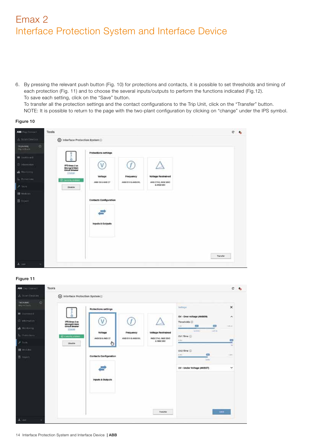6. By pressing the relevant push button (Fig. 10) for protections and contacts, it is possible to set thresholds and timing of each protection (Fig. 11) and to choose the several inputs/outputs to perform the functions indicated (Fig.12). To save each setting, click on the "Save" button. To transfer all the protection settings and the contact configurations to the Trip Unit, click on the "Transfer" button. NOTE: It is possible to return to the page with the two-plant configuration by clicking on "change" under the IPS symbol.

# Figure 10

| ABB Directorioci                    | Tools                                              |                               |                   |                                     | $c - b$  |
|-------------------------------------|----------------------------------------------------|-------------------------------|-------------------|-------------------------------------|----------|
| A Scin Divicor                      | to Interface Protection System <sup>(2)</sup>      |                               |                   |                                     |          |
| OF<br>TAGNAME<br><b>Digitizioni</b> |                                                    | <b>Protections settings</b>   |                   |                                     |          |
| <b>EX-</b> Durichians               |                                                    |                               |                   |                                     |          |
| D. Internation                      | IPS Emax 2 as<br>Microgrid Main<br>Circuit Breaker | V                             |                   |                                     |          |
| <b>ME Mondatoria</b>                | 13,412                                             | Voltage                       | Frequency         | <b>Voltage Restrained</b>           |          |
| L. Protections<br>×<br><b>TOO'S</b> | <b>B</b> communities !<br>Disable                  | ANNI TO A ANS 27              | ANGLETICK ANDERS, | ANSI 27VIL ANSE SINO<br>& ANSE SOVI |          |
| B Morbins                           |                                                    |                               |                   |                                     |          |
| 图 Tropical                          |                                                    | <b>Contacts Configuration</b> |                   |                                     |          |
|                                     |                                                    | inputs & Outputs              |                   |                                     |          |
| $\pm$ 100<br>×                      |                                                    |                               |                   |                                     | Transfer |

| ABB Like Connect                          | Tools                                    |                               |                              |                                                   |                                           |                      | $C$ $q_0$ |
|-------------------------------------------|------------------------------------------|-------------------------------|------------------------------|---------------------------------------------------|-------------------------------------------|----------------------|-----------|
| A Scan Devices                            | trientace Protection System              |                               |                              |                                                   |                                           |                      |           |
| $\sigma$<br>TAGNAME<br><b>BigTermarts</b> |                                          | <b>Protections settings</b>   |                              |                                                   | Villman                                   | $\times$             |           |
| <b>B</b> Dashboard                        |                                          |                               |                              |                                                   | OV - Over voltage (ANSION)                | ۸                    |           |
| (2) petermaneless                         | IPS fines 2 eq.                          | V                             |                              |                                                   | Thresholds (2)                            |                      |           |
| <b>LE</b> Monitoring                      | Moregrid Main<br>Crout Sreaker<br>STAGER |                               |                              |                                                   | ¢<br>O<br>1167<br>Literat<br>1,0716       | Update               |           |
| 5. Holidaya                               | C CARDIN VISING                          | Voltage<br>ANDESO & ANDEZZ    | Frequency<br>ANSETHE AND SIL | <b>Voltage Restrained</b><br>ANSI 27VIL ANSI 59VO | OUT Time (i)                              |                      |           |
| <b>P. Inch.</b>                           | Citatile                                 | U                             |                              | & Alex 56W                                        | dilla:<br>۰                               | Θ<br>-<br><b>STA</b> |           |
| <b>图 Modules</b>                          |                                          |                               |                              |                                                   | OV2 Time (1)                              |                      |           |
| <b>图 Ricord</b>                           |                                          | <b>Contacts Configuration</b> |                              |                                                   | CH <sub>2</sub><br><b>B.MAL</b><br>Autom. | 3 percent            |           |
|                                           |                                          |                               |                              |                                                   | UV - Under Voltage (ANSI27)               | ×                    |           |
|                                           |                                          | Inputs & Outputs              |                              |                                                   |                                           |                      |           |
|                                           |                                          |                               |                              |                                                   |                                           |                      |           |
|                                           |                                          |                               |                              |                                                   |                                           |                      |           |
|                                           |                                          |                               |                              | <b>Thiansfer</b>                                  |                                           | <b>Take</b>          |           |
| $\pm$ case                                |                                          |                               |                              |                                                   |                                           |                      |           |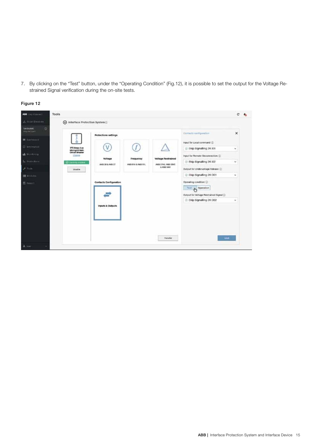7. By clicking on the "Test" button, under the "Operating Condition" (Fig.12), it is possible to set the output for the Voltage Restrained Signal verification during the on-site tests.



| ASS END Connect                    | Tools                                              |                               |                  |                           |                                              | c<br><b>As</b> |
|------------------------------------|----------------------------------------------------|-------------------------------|------------------|---------------------------|----------------------------------------------|----------------|
| A ScanDescen                       | hterface Protection System                         |                               |                  |                           |                                              |                |
| 四<br>TAGNAME<br><b>EKO HETELET</b> |                                                    | <b>Protections settings</b>   |                  |                           | Contects occhguration                        | ×              |
| <b>EE</b> Electricians             |                                                    |                               |                  |                           | input for Local contriund (2)                |                |
| (a) Intermetical                   | IPS Emax 2 as<br>Microgrid Main<br>Circuit Breaker | ٧                             |                  |                           | E Ekip Signalling 2K101                      | ×              |
| <b>A Montony</b>                   | Sherike                                            | <b>Voltage</b>                | Frequency        | <b>Voltage Restrained</b> | Input for Remate Disconnection (2)           |                |
| L. Poindicto                       | <b>В силову этажи</b>                              | ANG 50 & ANG 27               | ANGERINA ANGERIA | ANGEZIVE, ANGESOVE        | Big Signalling 2K I02                        | w              |
| <b>A trick</b>                     | Disable                                            |                               |                  | & ANNI 50V                | Output for Undervoltage Helease (2)          |                |
| <b>Hill Mottview</b>               |                                                    |                               |                  |                           | E Ekip Signalling 2K 001                     | ÷              |
| <b>El report</b>                   |                                                    | <b>Contacts Configuration</b> |                  |                           | Operating condition (ii)<br>Test & Operation |                |
|                                    |                                                    |                               |                  |                           | Output for Voltage Restrained Signal (i)     |                |
|                                    |                                                    | Inputs & Outputs              |                  |                           | E Ekip Signalling 2K OO2                     | w              |
|                                    |                                                    |                               |                  |                           |                                              |                |
|                                    |                                                    |                               |                  | therafer                  | 1000                                         |                |
| $\pm$ use                          |                                                    |                               |                  |                           |                                              |                |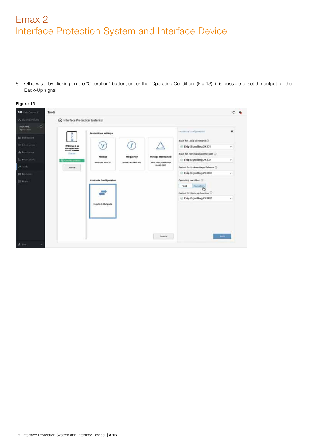8. Otherwise, by clicking on the "Operation" button, under the "Operating Condition" (Fig.13), it is possible to set the output for the Back-Up signal.



| ABB ENGLOCHECY                | Tools                                               |                               |                          |                           |                                                                                         | $\mathbf{C}$ |
|-------------------------------|-----------------------------------------------------|-------------------------------|--------------------------|---------------------------|-----------------------------------------------------------------------------------------|--------------|
| A Sem Divices                 | htterface Protection System.D                       |                               |                          |                           |                                                                                         |              |
| ø<br>ENGINEERS<br>Exploration |                                                     | Protections settings          |                          |                           | Contacts configuration                                                                  | $\times$     |
| <b>III</b> Distribuici        |                                                     |                               |                          |                           | Input for Local command (1)                                                             |              |
| (2) Indelmann's               | (PS Emax 3 as<br>Microgrid Main<br>Circuit fireaker | ٧                             |                          |                           | C Ekip Signalling 2K101                                                                 | v            |
| <b>Ide Mobilisma</b>          | <b>Chance</b>                                       | Voltage                       | Frequency                | <b>Voltage Restrained</b> | Input for Remote Disconnection (2)                                                      |              |
| L. Protections                | <b>Constrator</b>                                   | ANGERO & ANGE 37              | AAUST BETH & ANGEL IETE. | ANSI 27VO, ANNI 98VO      | C Ekip Signalling 2K102                                                                 | ÷            |
| ı<br><b>25 molto</b>          | Disable                                             |                               |                          | A AMB SINA                | Output for Undervoltage Release (C)                                                     |              |
| <b>BE Mothing</b>             |                                                     |                               |                          |                           | Ekip Signalling 2K 001                                                                  | w.           |
| <b>E</b> Rigist               |                                                     | <b>Contacts Configuration</b> |                          |                           | Operating condition (i)<br>Test<br><b>Operation</b><br>Output for Mack-up function (ii) |              |
|                               |                                                     | <b>Imputs &amp; Outputs</b>   |                          |                           | @ Ekip Signalling 2K 002                                                                | ÷            |
|                               |                                                     |                               |                          | <b>Transfer</b>           | <b>SAFE</b>                                                                             |              |
| $\Delta$ . time               |                                                     |                               |                          |                           |                                                                                         |              |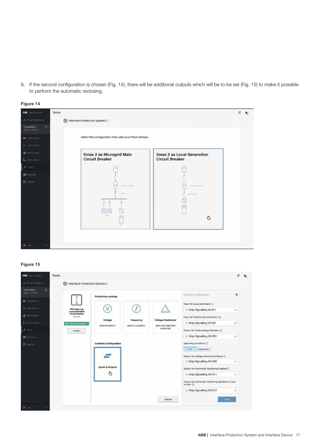9. If the second configuration is chosen (Fig. 14), there will be additional outputs which will be to be set (Fig. 15) to make it possible to perform the automatic reclosing.



| ASS (Sur Cornell)                     | Tools                                                                                                     | c | A. |
|---------------------------------------|-----------------------------------------------------------------------------------------------------------|---|----|
| A Scan Devices                        | to Interface Protection System                                                                            |   |    |
| TAGNAME2<br><b>CF</b><br>Digital Mage |                                                                                                           |   |    |
| <b>B</b> Dailories                    | Select the configuration that suits your Plant settings                                                   |   |    |
| Gli informationi                      |                                                                                                           |   |    |
| <b>LE</b> Montenez                    | Emax 2 as Microgrid Main<br><b>Emax 2 as Local Generation</b>                                             |   |    |
| L. Protections                        | <b>Circuit Breaker</b><br><b>Circuit Breaker</b>                                                          |   |    |
| 31409                                 | US\$ 29<br>29.94                                                                                          |   |    |
| <b>IB</b> Modules                     |                                                                                                           |   |    |
| 目 Woorl                               | Technology Milled<br>The America Modifi-<br><b>All Congress</b><br>25 July<br>Windows:<br>m<br>Lista<br>Ò |   |    |
| $L$ limit<br>٠                        |                                                                                                           |   |    |

| ALL FREEDOMES                          | Tools                                    |                               |                                  |                           |                                                                      | с                        |
|----------------------------------------|------------------------------------------|-------------------------------|----------------------------------|---------------------------|----------------------------------------------------------------------|--------------------------|
| A Scin Dovices                         | historiace Protection System             |                               |                                  |                           |                                                                      |                          |
| $\omega$<br>TAGALAMEZ<br>Out is maked? |                                          | Protections settings          |                                  |                           | Contacts configuration                                               | ×                        |
| <b>III</b> Charlotakeer                |                                          |                               |                                  |                           | Input for Local command (1)                                          |                          |
| @ udumation                            | IPS Emac 2 as<br><b>Local Generation</b> | ٧                             |                                  |                           | C Ekip Signalling 2K 101                                             | w.                       |
| <b>M</b> Monteceg                      | <b>Circuit Breaker</b><br><b>STARTER</b> |                               |                                  | <b>Voltage Restrained</b> | Input for Illeracte Disconnection (2)                                |                          |
| L. Promotions                          | <b>Burmmment</b>                         | Voltage<br>ANDESA & ANSE 27   | Frequency<br>ANDERSTHIS ANDERSE. | ANDE 27YOL ANDE SIRVE     | C Ekip Signalling 2K 102                                             | w                        |
| <b>16cia</b>                           | Disable                                  |                               |                                  | 8. AND 8 SWA              | Output for Undervoltage Reinase (D)                                  |                          |
| <b>NE Monday</b>                       |                                          |                               |                                  |                           | E Ekip Signalling 2K O01                                             | ÷                        |
| 目 <b>Heter1</b>                        |                                          | <b>Contacts Configuration</b> |                                  |                           | Operating condition (2)                                              |                          |
|                                        |                                          |                               |                                  |                           | Tiest<br>Operation:                                                  |                          |
|                                        |                                          |                               |                                  |                           | Output for Voltage Restrained Signal (2)<br>C Ekip Signalling 2K 002 | ٠                        |
|                                        |                                          | inputs & Outputs              |                                  |                           | Output for Automatic Reclosing Enabled                               |                          |
|                                        |                                          | Ò                             |                                  |                           | C Ekip Signalling 2K O11                                             | $\overline{\phantom{a}}$ |
|                                        |                                          |                               |                                  |                           | Output for Automatic Reclasing Disabled in case.<br>of fault (D)     |                          |
|                                        |                                          |                               |                                  |                           | C Ekip Signalling 2K 012                                             | ŵ                        |
|                                        |                                          |                               |                                  | <b>Transfer</b>           |                                                                      | <b>SNK</b>               |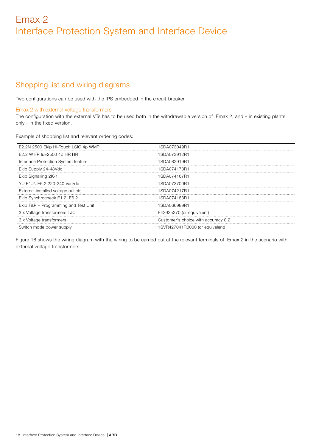# Shopping list and wiring diagrams

Two configurations can be used with the IPS embedded in the circuit-breaker.

## Emax 2 with external voltage transformers

The configuration with the external VTs has to be used both in the withdrawable version of Emax 2, and – in existing plants only - in the fixed version.

Example of shopping list and relevant ordering codes:

| E2.2N 2500 Ekip Hi-Touch LSIG 4p WMP | 1.SDA073049R <sup>-</sup>           |
|--------------------------------------|-------------------------------------|
| E2.2 W FP lu=2500 4p HR HR           | 1SDA073912R1                        |
| Interface Protection System feature  | 1SDA082919R1                        |
| Ekip Supply 24-48Vdc                 | 1SDA074173R1                        |
| Ekip Signalling 2K-1                 | 1SDA074167R1                        |
| YU E1.2. E6.2 220-240 Vac/dc         | 1SDA073700R1                        |
| External installed voltage outlets   | ISDA074217R1                        |
| Ekip Synchrocheck E1.2E6.2           | SDA074183R1                         |
| Ekip T&P - Programming and Test Unit | SDA066989R1                         |
| 3 x Voltage transformers TJC         | E43925370 (or equivalent)           |
| 3 x Voltage transformers             | Customer's choice with accuracy 0.2 |
| Switch mode power supply             | 1SVR427041R0000 (or equivalent)     |

Figure 16 shows the wiring diagram with the wiring to be carried out at the relevant terminals of Emax 2 in the scenario with external voltage transformers.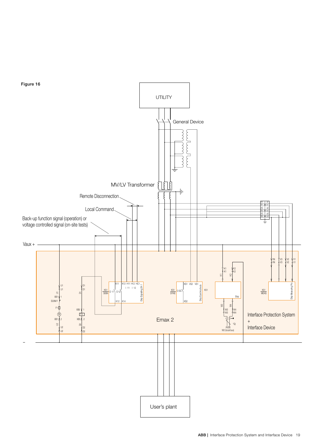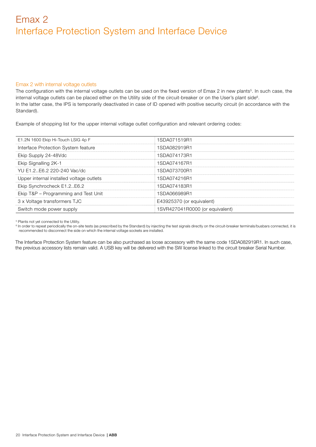# Emax 2 with internal voltage outlets

The configuration with the internal voltage outlets can be used on the fixed version of Emax 2 in new plants<sup>5</sup>. In such case, the internal voltage outlets can be placed either on the Utility side of the circuit-breaker or on the User's plant side<sup>6</sup>. In the latter case, the IPS is temporarily deactivated in case of ID opened with positive security circuit (in accordance with the Standard).

Example of shopping list for the upper internal voltage outlet configuration and relevant ordering codes:

| E1.2N 1600 Ekip Hi-Touch LSIG 4p F       | 1SDA071519R1                    |
|------------------------------------------|---------------------------------|
| Interface Protection System feature      | 1SDA082919R1                    |
| Ekip Supply 24-48Vdc                     | 1SDA074173R1                    |
| Ekip Signalling 2K-1                     | 1SDA074167R1                    |
| YU E1.2. E6.2 220-240 Vac/dc             | 1SDA073700R1                    |
| Upper internal installed voltage outlets | ISDA074216R1                    |
| Ekip Synchrocheck E1.2E6.2               | 1SDA074183R1                    |
| Ekip T&P - Programming and Test Unit     | ISDA066989R1                    |
| 3 x Voltage transformers TJC             | E43925370 (or equivalent)       |
| Switch mode power supply                 | 1SVR427041R0000 (or equivalent) |
|                                          |                                 |

5 Plants not yet connected to the Utility.

<sup>6</sup> In order to repeat periodically the on-site tests (as prescribed by the Standard) by injecting the test signals directly on the circuit-breaker terminals/busbars connected, it is recommended to disconnect the side on which the internal voltage sockets are installed.

The Interface Protection System feature can be also purchased as loose accessory with the same code 1SDA082919R1. In such case, the previous accessory lists remain valid. A USB key will be delivered with the SW license linked to the circuit breaker Serial Number.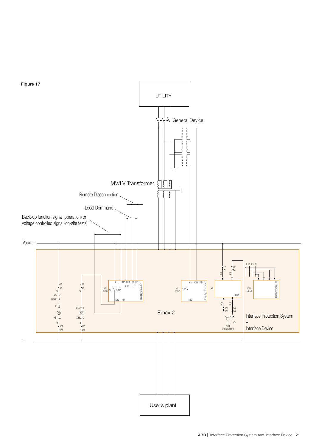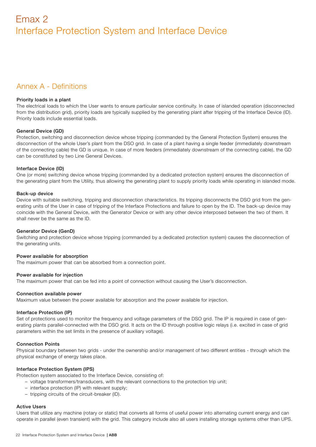# Annex A - Definitions

#### Priority loads in a plant

The electrical loads to which the User wants to ensure particular service continuity. In case of islanded operation (disconnected from the distribution grid), priority loads are typically supplied by the generating plant after tripping of the Interface Device (ID). Priority loads include essential loads.

# General Device (GD)

Protection, switching and disconnection device whose tripping (commanded by the General Protection System) ensures the disconnection of the whole User's plant from the DSO grid. In case of a plant having a single feeder (immediately downstream of the connecting cable) the GD is unique. In case of more feeders (immediately downstream of the connecting cable), the GD can be constituted by two Line General Devices.

# Interface Device (ID)

One (or more) switching device whose tripping (commanded by a dedicated protection system) ensures the disconnection of the generating plant from the Utility, thus allowing the generating plant to supply priority loads while operating in islanded mode.

## Back-up device

Device with suitable switching, tripping and disconnection characteristics. Its tripping disconnects the DSO grid from the generating units of the User in case of tripping of the Interface Protections and failure to open by the ID. The back-up device may coincide with the General Device, with the Generator Device or with any other device interposed between the two of them. It shall never be the same as the ID.

# Generator Device (GenD)

Switching and protection device whose tripping (commanded by a dedicated protection system) causes the disconnection of the generating units.

#### Power available for absorption

The maximum power that can be absorbed from a connection point.

#### Power available for injection

The maximum power that can be fed into a point of connection without causing the User's disconnection.

#### Connection available power

Maximum value between the power available for absorption and the power available for injection.

# Interface Protection (IP)

Set of protections used to monitor the frequency and voltage parameters of the DSO grid. The IP is required in case of generating plants parallel-connected with the DSO grid. It acts on the ID through positive logic relays (i.e. excited in case of grid parameters within the set limits in the presence of auxiliary voltage).

# Connection Points

Physical boundary between two grids - under the ownership and/or management of two different entities - through which the physical exchange of energy takes place.

# Interface Protection System (IPS)

Protection system associated to the Interface Device, consisting of:

- voltage transformers/transducers, with the relevant connections to the protection trip unit;
- interface protection (IP) with relevant supply;
- tripping circuits of the circuit-breaker (ID).

# Active Users

Users that utilize any machine (rotary or static) that converts all forms of useful power into alternating current energy and can operate in parallel (even transient) with the grid. This category include also all users installing storage systems other than UPS.